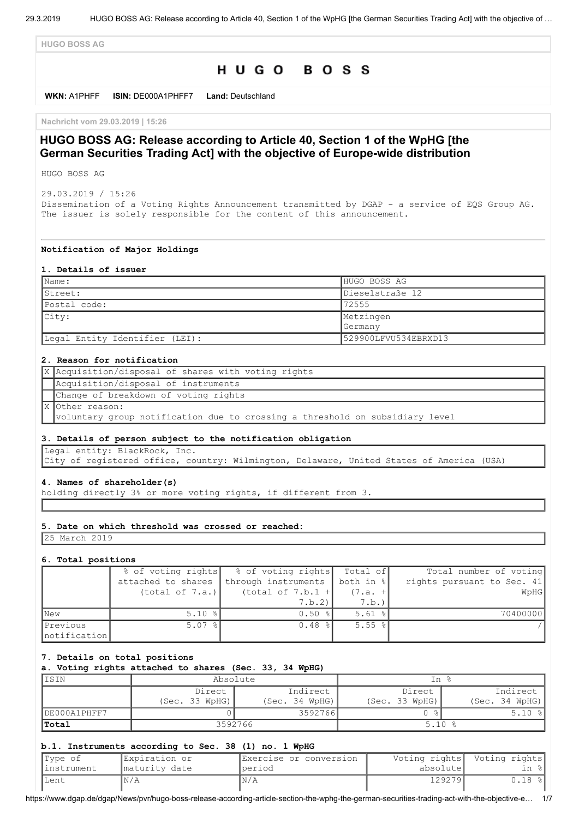**HUGO BOSS AG**

# HUGO BOSS

**WKN:** A1PHFF **ISIN:** DE000A1PHFF7 **Land:** Deutschland

**Nachricht vom 29.03.2019 | 15:26**

# **HUGO BOSS AG: Release according to Article 40, Section 1 of the WpHG [the German Securities Trading Act] with the objective of Europe-wide distribution**

HUGO BOSS AG

29.03.2019 / 15:26 Dissemination of a Voting Rights Announcement transmitted by DGAP - a service of EQS Group AG. The issuer is solely responsible for the content of this announcement.

#### **Notification of Major Holdings**

#### **1. Details of issuer**

| Name:                          | HUGO BOSS AG         |
|--------------------------------|----------------------|
| IStreet:                       | Dieselstraße 12      |
| Postal code:                   | 72555                |
| City:                          | Metzingen            |
|                                | <b>Germany</b>       |
| Legal Entity Identifier (LEI): | 529900LFVU534EBRXD13 |

### **2. Reason for notification**

| X Acquisition/disposal of shares with voting rights                          |
|------------------------------------------------------------------------------|
| Acquisition/disposal of instruments                                          |
| Change of breakdown of voting rights                                         |
| X Other reason:                                                              |
| voluntary group notification due to crossing a threshold on subsidiary level |

#### **3. Details of person subject to the notification obligation**

Legal entity: BlackRock, Inc.

City of registered office, country: Wilmington, Delaware, United States of America (USA)

#### **4. Names of shareholder(s)**

holding directly 3% or more voting rights, if different from 3.

### **5. Date on which threshold was crossed or reached:**

25 March 2019

#### **6. Total positions**

|                          | % of voting rights   | % of voting rights  | Total of             | Total number of voting     |
|--------------------------|----------------------|---------------------|----------------------|----------------------------|
|                          | attached to shares   | through instruments | both in %            | rights pursuant to Sec. 41 |
|                          | (total of 7.a.)      | (total of $7.b.1 +$ | $(7.a. +$            | WpHG                       |
|                          |                      | 7.b.2               | 7.b.                 |                            |
| <b>New</b>               | $5.10 \text{ }$      | $0.50$ $ $          | $5.61$ %             | 70400000                   |
| Previous<br>notification | $5.07$ $\frac{8}{1}$ | $0.48$ %            | $5.55$ $\frac{8}{1}$ |                            |

### **7. Details on total positions**

**a. Voting rights attached to shares (Sec. 33, 34 WpHG)**

| IISIN        | Absolute           |                | In %           |                |  |
|--------------|--------------------|----------------|----------------|----------------|--|
|              | Indirect<br>Direct |                | Direct         | Indirect       |  |
|              | (Sec. 33 WpHG)     | (Sec. 34 WpHG) | (Sec. 33 WpHG) | (Sec. 34 WpHG) |  |
| DE000A1PHFF7 |                    | 3592766        |                | 5.10<br>- %    |  |
| <b>Total</b> |                    | 3592766        | $5.10*$        |                |  |

#### **b.1. Instruments according to Sec. 38 (1) no. 1 WpHG**

| Type of     | IExpiration or | IExercise or conversion |           | Voting rights  Voting rights |
|-------------|----------------|-------------------------|-----------|------------------------------|
| linstrument | maturity date  | Iperiod                 | absolutel | in %l                        |
| lLent       | ¶Ν/Ά           | IN/A                    | 129279    | $0.18$ %                     |

https://www.dgap.de/dgap/News/pvr/hugo-boss-release-according-article-section-the-wphg-the-german-securities-trading-act-with-the-objective-e… 1/7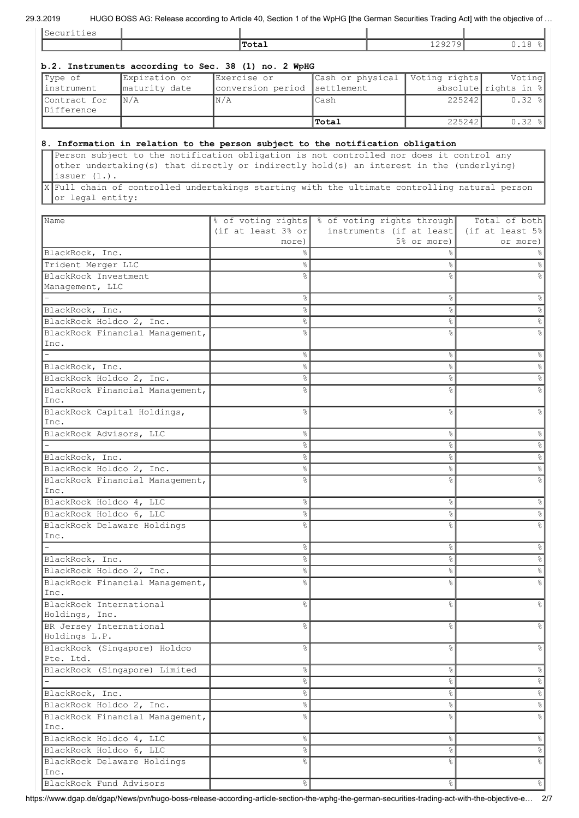## 29.3.2019 HUGO BOSS AG: Release according to Article 40, Section 1 of the WpHG [the German Securities Trading Act] with the objective of …

| Securities                              |                                 | The community to the content of the computation of the community community that the opported or |                  |                          |        |                                |
|-----------------------------------------|---------------------------------|-------------------------------------------------------------------------------------------------|------------------|--------------------------|--------|--------------------------------|
|                                         |                                 | Total                                                                                           |                  | 129279                   |        | 0.18%                          |
|                                         |                                 | b.2. Instruments according to Sec. 38 (1) no. 2 WpHG                                            |                  |                          |        |                                |
| Type of                                 | Expiration or                   | Exercise or                                                                                     | Cash or physical | Voting rights            |        | Voting                         |
| instrument                              | maturity date                   | conversion period                                                                               | settlement       |                          |        | absolute rights in $\S$        |
| Contract for<br>Difference              | N/A                             | N/A                                                                                             | Cash             |                          | 225242 | $0.32$ %                       |
|                                         |                                 |                                                                                                 | Total            |                          | 225242 | $0.32$ %                       |
|                                         |                                 |                                                                                                 |                  |                          |        |                                |
|                                         |                                 | 8. Information in relation to the person subject to the notification obligation                 |                  |                          |        |                                |
|                                         |                                 | Person subject to the notification obligation is not controlled nor does it control any         |                  |                          |        |                                |
| issuer $(1.)$ .                         |                                 | other undertaking(s) that directly or indirectly hold(s) an interest in the (underlying)        |                  |                          |        |                                |
|                                         |                                 | X Full chain of controlled undertakings starting with the ultimate controlling natural person   |                  |                          |        |                                |
| or legal entity:                        |                                 |                                                                                                 |                  |                          |        |                                |
| Name                                    |                                 | % of voting rights % of voting rights through                                                   |                  |                          |        | Total of both                  |
|                                         |                                 | (if at least $3\frac{8}{9}$ or                                                                  |                  | instruments (if at least |        | $(it$ at least $5\%$           |
|                                         |                                 | more)                                                                                           |                  | 5% or more)              |        | or more)                       |
| BlackRock, Inc.                         |                                 | $\approx$                                                                                       |                  |                          |        |                                |
| Trident Merger LLC                      |                                 | g.                                                                                              |                  | ℅                        |        |                                |
| BlackRock Investment<br>Management, LLC |                                 | ٥Ŗ                                                                                              |                  | ٥Ŗ                       |        |                                |
|                                         |                                 | g.                                                                                              |                  | $\approx$                |        | န့                             |
| BlackRock, Inc.                         |                                 | $\frac{6}{6}$                                                                                   |                  | å.                       |        | °                              |
| BlackRock Holdco 2, Inc.                |                                 | $\frac{6}{10}$                                                                                  |                  | ٩,                       |        | °                              |
|                                         | BlackRock Financial Management, | ⊱                                                                                               |                  | ٥Ŗ                       |        | o,                             |
| Inc.                                    |                                 |                                                                                                 |                  |                          |        |                                |
| BlackRock, Inc.                         |                                 | g.<br>g.                                                                                        |                  | &<br>옹                   |        | $\frac{6}{5}$<br>$\frac{6}{5}$ |
| BlackRock Holdco 2, Inc.                |                                 | g.                                                                                              |                  | 응                        |        | $\frac{6}{6}$                  |
|                                         | BlackRock Financial Management, |                                                                                                 |                  | ٥Ŗ                       |        |                                |
| Inc.                                    |                                 |                                                                                                 |                  |                          |        |                                |
|                                         | BlackRock Capital Holdings,     | °                                                                                               |                  |                          |        |                                |
| Inc.                                    |                                 |                                                                                                 |                  | ٩,                       |        |                                |
| BlackRock Advisors, LLC                 |                                 | g.<br>응                                                                                         |                  | e.                       |        | e<br>8<br>s,                   |
| BlackRock, Inc.                         |                                 |                                                                                                 |                  |                          |        | ℅                              |
| BlackRock Holdco 2, Inc.                |                                 | g                                                                                               |                  | g                        |        | e,                             |
|                                         | BlackRock Financial Management, | ⊱                                                                                               |                  | g                        |        |                                |
| Inc.                                    |                                 |                                                                                                 |                  |                          |        |                                |
| BlackRock Holdco 4, LLC                 |                                 | $\frac{6}{\pi}$                                                                                 |                  | $\%$                     |        | &                              |
| BlackRock Holdco 6, LLC                 | BlackRock Delaware Holdings     | $\frac{6}{6}$<br>$\frac{6}{10}$                                                                 |                  | e<br>8<br>٥Ŗ             |        | $\%$                           |
| Inc.                                    |                                 |                                                                                                 |                  |                          |        |                                |
| $\equiv$                                |                                 | $\%$                                                                                            |                  | $\%$                     |        | $\%$                           |
| BlackRock, Inc.                         |                                 | နွ                                                                                              |                  | °                        |        | $\%$                           |
| BlackRock Holdco 2, Inc.                |                                 | g.                                                                                              |                  | s,                       |        | $\%$                           |
| Inc.                                    | BlackRock Financial Management, | $\frac{6}{10}$                                                                                  |                  | g                        |        |                                |
| BlackRock International                 |                                 | g<br>8                                                                                          |                  | g                        |        |                                |
| Holdings, Inc.                          |                                 |                                                                                                 |                  |                          |        |                                |
| BR Jersey International                 |                                 | $\frac{6}{6}$                                                                                   |                  | $\frac{6}{5}$            |        |                                |
| Holdings L.P.                           |                                 |                                                                                                 |                  |                          |        |                                |
| Pte. Ltd.                               | BlackRock (Singapore) Holdco    | $\frac{6}{10}$                                                                                  |                  | $\frac{6}{10}$           |        | နွ                             |
|                                         | BlackRock (Singapore) Limited   | နွ                                                                                              |                  | $\%$                     |        | %                              |
|                                         |                                 | $\%$                                                                                            |                  | s,                       |        | $\%$                           |
| BlackRock, Inc.                         |                                 | $\%$                                                                                            |                  | °                        |        | $\%$                           |
| BlackRock Holdco 2, Inc.                |                                 | &                                                                                               |                  | °                        |        | %                              |
| Inc.                                    | BlackRock Financial Management, | $\frac{6}{6}$                                                                                   |                  | g                        |        | s,                             |
| BlackRock Holdco 4, LLC                 |                                 | &                                                                                               |                  | $\frac{8}{6}$            |        | %                              |
| BlackRock Holdco 6, LLC                 |                                 | &                                                                                               |                  | s,                       |        | &                              |
|                                         | BlackRock Delaware Holdings     | g<br>8                                                                                          |                  | g                        |        | s,                             |
| Inc.                                    |                                 |                                                                                                 |                  |                          |        |                                |
| BlackRock Fund Advisors                 |                                 | နွ                                                                                              |                  | s,                       |        | °                              |

https://www.dgap.de/dgap/News/pvr/hugo-boss-release-according-article-section-the-wphg-the-german-securities-trading-act-with-the-objective-e… 2/7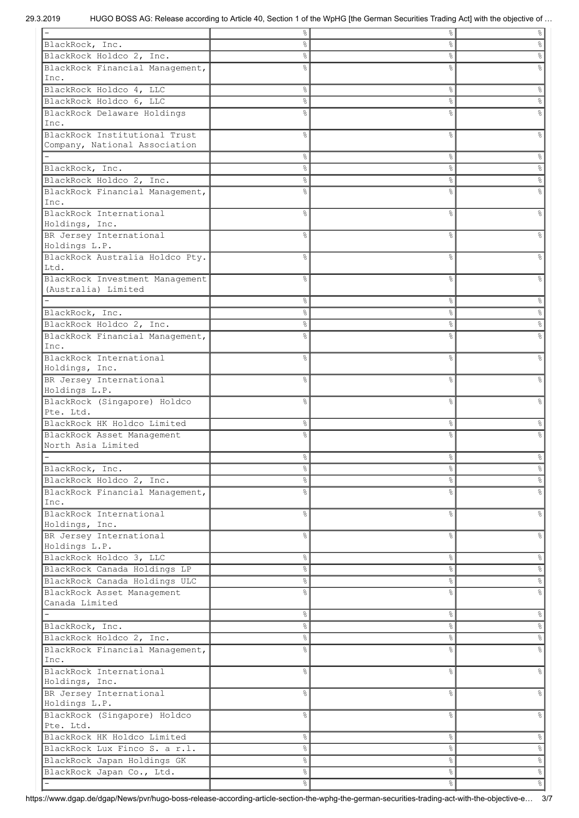|                                 | ⊱              | &             | %                    |
|---------------------------------|----------------|---------------|----------------------|
| BlackRock, Inc.                 | 옹              | &             | ့<br>၁               |
| BlackRock Holdco 2, Inc.        | 옹              | $\%$          | &                    |
| BlackRock Financial Management, | ٥Ŗ             | &             |                      |
| Inc.                            |                |               |                      |
| BlackRock Holdco 4, LLC         | e<br>8         | $\%$          | $\%$                 |
| BlackRock Holdco 6, LLC         | e<br>8         | $\%$          | $\%$                 |
| BlackRock Delaware Holdings     | ٩,             | &             | ٩,                   |
| Inc.                            |                |               |                      |
| BlackRock Institutional Trust   | 옹              | &             | g<br>8               |
| Company, National Association   |                |               |                      |
|                                 | °              | $\%$          | $\%$                 |
| BlackRock, Inc.                 | 옹              | $\%$          | $\%$                 |
| BlackRock Holdco 2, Inc.        | 옹              | $\%$          | $\%$                 |
| BlackRock Financial Management, | ٥Ŗ             | $\frac{6}{6}$ | g<br>8               |
| Inc.                            |                |               |                      |
| BlackRock International         | 응              | &             | o,                   |
| Holdings, Inc.                  |                |               |                      |
| BR Jersey International         | ٩,             | &             | $\frac{6}{10}$       |
| Holdings L.P.                   |                |               |                      |
| BlackRock Australia Holdco Pty. | g              | &             | $\frac{6}{5}$        |
| Ltd.                            |                |               |                      |
| BlackRock Investment Management | ٥Ŗ             | &             | g                    |
| (Australia) Limited             |                |               |                      |
|                                 | 옹              | $\%$          | $\%$                 |
| BlackRock, Inc.                 | 응              | $\frac{6}{6}$ | ့<br>၁               |
| BlackRock Holdco 2, Inc.        | 옹              | $\%$          | $\%$                 |
| BlackRock Financial Management, | ⊱              | ٥Ŗ            |                      |
| Inc.                            |                |               |                      |
| BlackRock International         | o<br>R         | $\frac{6}{2}$ | $\frac{6}{5}$        |
| Holdings, Inc.                  |                |               |                      |
| BR Jersey International         | 옹              | &             | g                    |
| Holdings L.P.                   |                |               |                      |
| BlackRock (Singapore) Holdco    | g              | &             | g <sub>o</sub>       |
| Pte. Ltd.                       |                |               |                      |
| BlackRock HK Holdco Limited     | 옹              | $\%$          | 옹                    |
| BlackRock Asset Management      | ٥Ŗ             | &             |                      |
| North Asia Limited              |                |               |                      |
|                                 | 옹              | &             | &                    |
| BlackRock, Inc.                 | $\frac{8}{6}$  | $\%$          | $\frac{6}{6}$        |
| BlackRock Holdco 2, Inc.        | $\frac{6}{6}$  | $\%$          | $\frac{1}{\sqrt{2}}$ |
| BlackRock Financial Management, | ok             | $\%$          | $\frac{6}{5}$        |
| Inc.                            |                |               |                      |
| BlackRock International         | o.             | $\%$          | $\frac{6}{5}$        |
| Holdings, Inc.                  |                |               |                      |
| BR Jersey International         | 옹              | $\%$          | &                    |
| Holdings L.P.                   |                |               |                      |
| BlackRock Holdco 3, LLC         | 응              | $\%$          | $\%$                 |
| BlackRock Canada Holdings LP    | e <sub>o</sub> | $\%$          | $\frac{1}{\sqrt{2}}$ |
| BlackRock Canada Holdings ULC   | 응              | $\%$          | $\%$                 |
| BlackRock Asset Management      | 응              | $\%$          | $\%$                 |
| Canada Limited                  |                |               |                      |
|                                 | 옹              | $\%$          | $\%$                 |
| BlackRock, Inc.                 | °              | $\%$          | $\frac{\circ}{6}$    |
| BlackRock Holdco 2, Inc.        | o.             | $\%$          | $\frac{1}{\sqrt{2}}$ |
| BlackRock Financial Management, | o<br>R         | $\frac{6}{6}$ | $\frac{6}{5}$        |
| Inc.                            |                |               |                      |
| BlackRock International         | 옹              | $\%$          | °                    |
| Holdings, Inc.                  |                |               |                      |
| BR Jersey International         | g              | $\%$          | &                    |
| Holdings L.P.                   |                |               |                      |
| BlackRock (Singapore) Holdco    | 응              | $\frac{6}{6}$ | $\%$                 |
| Pte. Ltd.                       |                |               |                      |
| BlackRock HK Holdco Limited     | 옹              | $\%$          | $\%$                 |
| BlackRock Lux Finco S. a r.l.   | °              | $\%$          | $\frac{1}{\sqrt{2}}$ |
| BlackRock Japan Holdings GK     | °              | $\%$          | $\frac{1}{\sqrt{2}}$ |
|                                 |                |               | $\frac{1}{\sqrt{2}}$ |
| BlackRock Japan Co., Ltd.       | °              | $\%$          |                      |
|                                 | 옹              | $\%$          | $\frac{1}{\sqrt{2}}$ |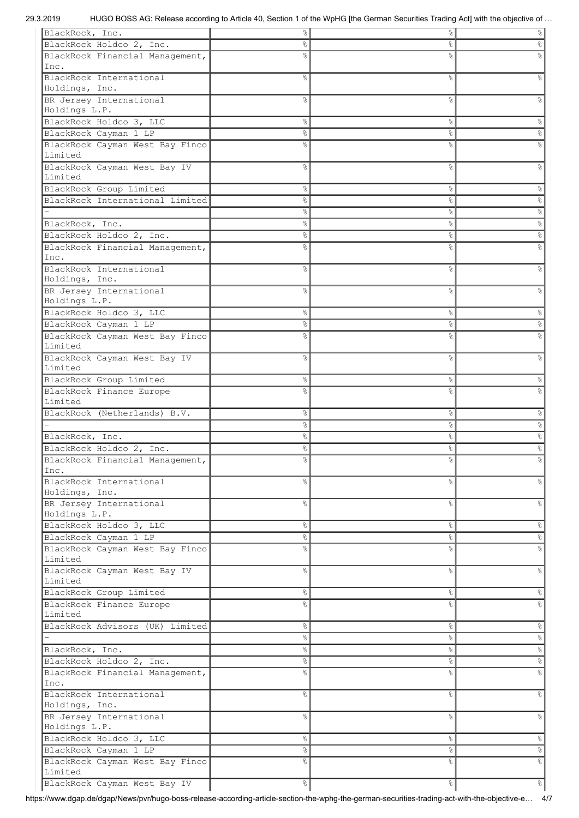| BlackRock, Inc.                         | 응             | ိင            | %                    |
|-----------------------------------------|---------------|---------------|----------------------|
| BlackRock Holdco 2, Inc.                | 옹             | &             | g                    |
| BlackRock Financial Management,         |               | &             |                      |
| Inc.                                    |               |               |                      |
| BlackRock International                 | ⊱             | &             | 옹                    |
| Holdings, Inc.                          |               |               |                      |
|                                         |               |               |                      |
| BR Jersey International                 | ⊱             | ိင            |                      |
| Holdings L.P.                           |               |               |                      |
| BlackRock Holdco 3, LLC                 | ⊱             | $\%$          | 옹                    |
| BlackRock Cayman 1 LP                   | 옹             | $\%$          | 옹                    |
| BlackRock Cayman West Bay Finco         | 응             | g             |                      |
| Limited                                 |               |               |                      |
| BlackRock Cayman West Bay IV            | g             | $\%$          | g                    |
| Limited                                 |               |               |                      |
| BlackRock Group Limited                 | 옹             | ိင            | %                    |
| BlackRock International Limited         | ٥ę            | $\%$          | $\%$                 |
|                                         | ٥ę            | $\%$          | $\%$                 |
|                                         |               |               |                      |
| BlackRock, Inc.                         | 옹             | $\%$          | $\%$                 |
| BlackRock Holdco 2, Inc.                | 옹             | $\%$          | $\%$                 |
| BlackRock Financial Management,         | ٥Ŗ            | ٥Ŗ            |                      |
| Inc.                                    |               |               |                      |
| BlackRock International                 | ⊱             | &             | ℅                    |
| Holdings, Inc.                          |               |               |                      |
| BR Jersey International                 | 응             | &             |                      |
| Holdings L.P.                           |               |               |                      |
| BlackRock Holdco 3, LLC                 | ٥ę            | $\%$          | %                    |
| BlackRock Cayman 1 LP                   | 옹             | $\%$          | g.                   |
| BlackRock Cayman West Bay Finco         | ٥Ŗ            | &             |                      |
| Limited                                 |               |               |                      |
|                                         |               |               |                      |
| BlackRock Cayman West Bay IV            | 욲             | &             | $\frac{6}{10}$       |
| Limited                                 |               |               |                      |
| BlackRock Group Limited                 | 응             | ိင            | န္                   |
| BlackRock Finance Europe                | 욲             | &             |                      |
| Limited                                 |               |               |                      |
|                                         |               |               |                      |
| BlackRock (Netherlands) B.V.            | 응             | $\%$          | %                    |
|                                         | 응             | $\%$          | $\%$                 |
| BlackRock, Inc.                         | 응             | $\%$          | $\%$                 |
|                                         | g.            | $\%$          |                      |
| BlackRock Holdco 2, Inc.                |               |               | $\%$                 |
| BlackRock Financial Management,         | 응             | $\frac{8}{6}$ | 응                    |
| Inc.                                    |               |               |                      |
| BlackRock International                 | နွ            | &             | န့                   |
| Holdings, Inc.                          |               |               |                      |
| BR Jersey International                 | နွ            | &             | $\frac{6}{5}$        |
| Holdings L.P.                           |               |               |                      |
| BlackRock Holdco 3, LLC                 | $\%$          | $\frac{8}{6}$ | $\%$                 |
| BlackRock Cayman 1 LP                   | $\%$          | $\%$          | $\frac{1}{\sqrt{2}}$ |
| BlackRock Cayman West Bay Finco         | $\approx$     | $\%$          | $\%$                 |
| Limited                                 |               |               |                      |
| BlackRock Cayman West Bay IV            | 옹             | $\%$          | $\frac{6}{5}$        |
| Limited                                 |               |               |                      |
|                                         | 옹             | $\%$          | $\%$                 |
| BlackRock Group Limited                 |               |               |                      |
| BlackRock Finance Europe                | ٩,            | $\%$          | $\%$                 |
| Limited                                 |               |               |                      |
| BlackRock Advisors (UK) Limited         | $\%$          | $\frac{8}{6}$ | $\infty$             |
|                                         | $\frac{8}{6}$ | $\frac{8}{6}$ | $\frac{\circ}{6}$    |
| BlackRock, Inc.                         | 응             | $\frac{8}{6}$ | $rac{1}{\sqrt{2}}$   |
| BlackRock Holdco 2, Inc.                | $\frac{8}{6}$ | $\frac{8}{6}$ | $\%$                 |
| BlackRock Financial Management,         | e<br>8        | $\%$          | $\%$                 |
| Inc.                                    |               |               |                      |
| BlackRock International                 | o.            | &             | $\frac{6}{5}$        |
| Holdings, Inc.                          |               |               |                      |
| BR Jersey International                 | ٩,            | &             | o,                   |
|                                         |               |               |                      |
| Holdings L.P.                           |               |               |                      |
| BlackRock Holdco 3, LLC                 | 옹             | $\%$          | $\%$                 |
| BlackRock Cayman 1 LP                   | 응             | $\%$          | $\frac{1}{\sqrt{2}}$ |
| BlackRock Cayman West Bay Finco         | 응             | &             | $\frac{1}{\sqrt{2}}$ |
| Limited<br>BlackRock Cayman West Bay IV | $\frac{8}{6}$ | $\%$          | $\frac{1}{6}$        |

https://www.dgap.de/dgap/News/pvr/hugo-boss-release-according-article-section-the-wphg-the-german-securities-trading-act-with-the-objective-e… 4/7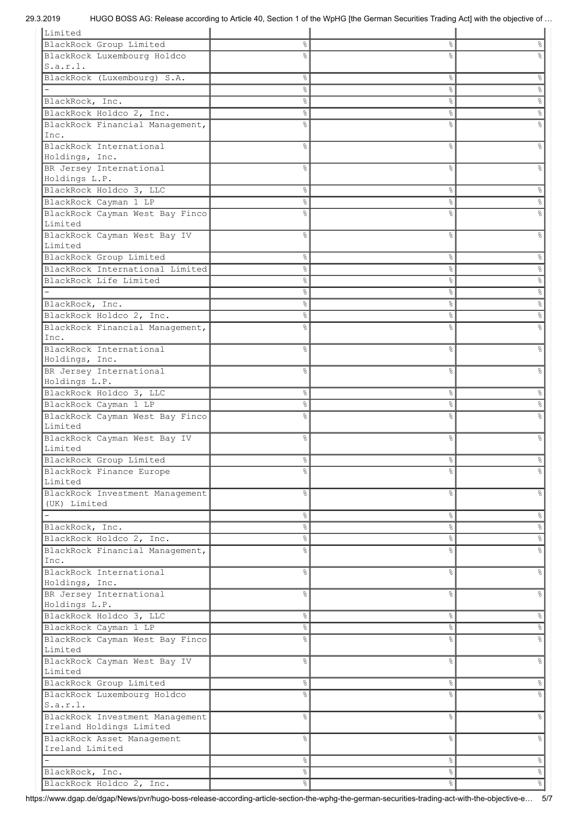| Limited                         |               |                |                      |
|---------------------------------|---------------|----------------|----------------------|
| BlackRock Group Limited         | 응             | နွ             | န္                   |
| BlackRock Luxembourg Holdco     | ٥Ŗ            | 8              |                      |
| s.a.r.l.                        |               |                |                      |
|                                 |               |                |                      |
| BlackRock (Luxembourg) S.A.     | 응             | ိင             | န္                   |
|                                 | 응             | $\%$           | s,                   |
| BlackRock, Inc.                 | 응             | $\%$           | °                    |
| BlackRock Holdco 2, Inc.        | 응             | နွ             | &                    |
| BlackRock Financial Management, | 욲             | 8              | g                    |
| Inc.                            |               |                |                      |
| BlackRock International         | ⊱             | 8              | g                    |
|                                 |               |                |                      |
| Holdings, Inc.                  |               |                |                      |
| BR Jersey International         | 옹             | 8              | g                    |
| Holdings L.P.                   |               |                |                      |
| BlackRock Holdco 3, LLC         | ٥ę            | $\%$           | &                    |
| BlackRock Cayman 1 LP           | ٥ę            | နွ             | e,                   |
| BlackRock Cayman West Bay Finco | 응             | $\frac{6}{5}$  |                      |
| Limited                         |               |                |                      |
| BlackRock Cayman West Bay IV    | ⊱             | g,             | g                    |
|                                 |               |                |                      |
| Limited                         |               |                |                      |
| BlackRock Group Limited         | 옹             | $\%$           | g                    |
| BlackRock International Limited | 옹             | $\%$           | &                    |
| BlackRock Life Limited          | 옹             | $\%$           | &                    |
|                                 | 옹             | $\%$           | $\%$                 |
| BlackRock, Inc.                 | 응             | $\%$           | $\%$                 |
|                                 |               |                |                      |
| BlackRock Holdco 2, Inc.        | 응             | $\%$           | $\%$                 |
| BlackRock Financial Management, | 응             | 8              |                      |
| Inc.                            |               |                |                      |
| BlackRock International         | 욲             | &              | ٩,                   |
| Holdings, Inc.                  |               |                |                      |
| BR Jersey International         | 욲             | &              | $\approx$            |
| Holdings L.P.                   |               |                |                      |
| BlackRock Holdco 3, LLC         |               |                |                      |
|                                 | 응             | $\%$           | န္                   |
| BlackRock Cayman 1 LP           | 응             | နွ             | &                    |
| BlackRock Cayman West Bay Finco | ٩,            | &              | g                    |
| Limited                         |               |                |                      |
| BlackRock Cayman West Bay IV    | 옹             | $\%$           | g                    |
| Limited                         |               |                |                      |
| BlackRock Group Limited         | 응             | နွ             | °                    |
| BlackRock Finance Europe        | ⊱             | နွ             | g.                   |
| Limited                         |               |                |                      |
|                                 |               |                |                      |
| BlackRock Investment Management | နွ            | &              | $\frac{6}{6}$        |
| (UK) Limited                    |               |                |                      |
|                                 | $\frac{8}{6}$ | $\frac{8}{6}$  | $\frac{6}{5}$        |
| BlackRock, Inc.                 | $\frac{8}{6}$ | $\frac{8}{6}$  | $^{\circ}$           |
| BlackRock Holdco 2, Inc.        | 옹             | $\frac{8}{6}$  | $\frac{1}{\sqrt{2}}$ |
| BlackRock Financial Management, | ٩,            | $\%$           | $\frac{8}{6}$        |
| Inc.                            |               |                |                      |
| BlackRock International         |               | $\frac{6}{6}$  | $\frac{6}{6}$        |
|                                 | 옹             |                |                      |
| Holdings, Inc.                  |               |                |                      |
| BR Jersey International         | 응             | $\frac{6}{6}$  | $\frac{6}{6}$        |
| Holdings L.P.                   |               |                |                      |
| BlackRock Holdco 3, LLC         | $\frac{8}{6}$ | $\%$           | $\frac{6}{6}$        |
| BlackRock Cayman 1 LP           | $\frac{8}{6}$ | $\%$           | $\infty$             |
| BlackRock Cayman West Bay Finco | ⊱             | $\frac{6}{6}$  | $\frac{8}{6}$        |
| Limited                         |               |                |                      |
|                                 |               |                |                      |
| BlackRock Cayman West Bay IV    | o.            | $\frac{6}{6}$  | $\frac{6}{6}$        |
| Limited                         |               |                |                      |
| BlackRock Group Limited         | °             | $\%$           | $\frac{6}{5}$        |
| BlackRock Luxembourg Holdco     | ٩,            | $\frac{6}{10}$ | $\%$                 |
| S.a.r.l.                        |               |                |                      |
| BlackRock Investment Management | 응             | $\frac{6}{6}$  | $\%$                 |
| Ireland Holdings Limited        |               |                |                      |
| BlackRock Asset Management      | ٩,            | $\frac{6}{2}$  | $\%$                 |
| Ireland Limited                 |               |                |                      |
|                                 |               |                |                      |
|                                 | °             | $\%$           | $\frac{8}{6}$        |
| BlackRock, Inc.                 | 응             | &              | $\frac{1}{\sqrt{2}}$ |
| BlackRock Holdco 2, Inc.        | 응             | $\%$           | $\frac{1}{\sqrt{2}}$ |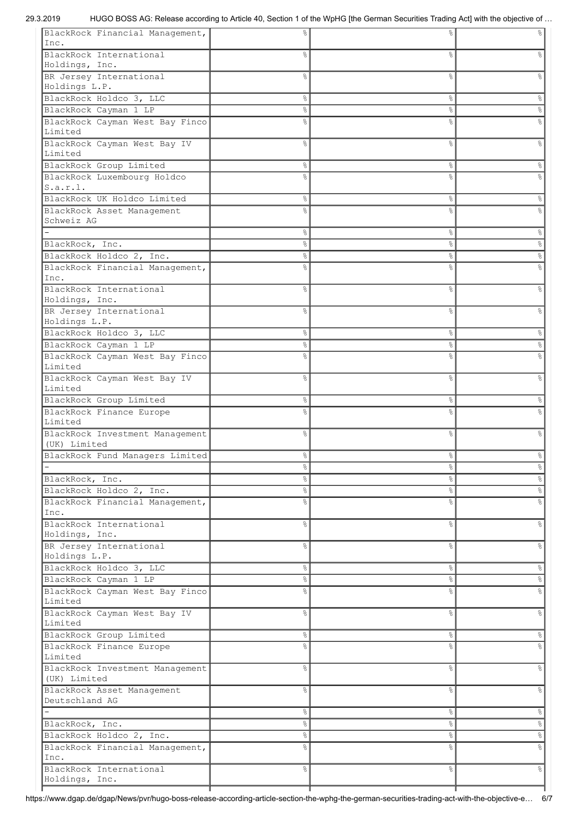| BlackRock Financial Management,           | ⊱      | &             |                      |
|-------------------------------------------|--------|---------------|----------------------|
| Inc.                                      |        |               |                      |
| BlackRock International                   | 응      | $\%$          |                      |
| Holdings, Inc.                            |        |               |                      |
| BR Jersey International                   | ٥Ŗ     | $\frac{8}{6}$ | $\frac{6}{10}$       |
|                                           |        |               |                      |
| Holdings L.P.                             |        |               |                      |
| BlackRock Holdco 3, LLC                   | 옹      | $\%$          | &                    |
| BlackRock Cayman 1 LP                     | e<br>8 | $\%$          | e<br>8               |
| BlackRock Cayman West Bay Finco           | ٥ę     | &             |                      |
| Limited                                   |        |               |                      |
| BlackRock Cayman West Bay IV              | ⊱      | ိင            | 옹                    |
| Limited                                   |        |               |                      |
| BlackRock Group Limited                   | 옹      | $\%$          | s,                   |
| BlackRock Luxembourg Holdco               | 응      | $\frac{8}{6}$ |                      |
| S.a.r.l.                                  |        |               |                      |
| BlackRock UK Holdco Limited               | 옹      | $\%$          | &                    |
| BlackRock Asset Management                | 응      | &             | g                    |
| Schweiz AG                                |        |               |                      |
|                                           | ٥ę     | $\%$          | °                    |
|                                           |        |               |                      |
| BlackRock, Inc.                           | 옹      | $\%$          | $\%$                 |
| BlackRock Holdco 2, Inc.                  | ٥ę     | $\%$          | °                    |
| BlackRock Financial Management,           | ٥Ŗ     | &             | $\frac{6}{5}$        |
| Inc.                                      |        |               |                      |
| BlackRock International                   | ⊱      | &             | 옹                    |
| Holdings, Inc.                            |        |               |                      |
| BR Jersey International                   | ⊱      | &             |                      |
| Holdings L.P.                             |        |               |                      |
| BlackRock Holdco 3, LLC                   | 옹      | $\%$          | $\%$                 |
| BlackRock Cayman 1 LP                     | 옹      | ိင            | 옹                    |
| BlackRock Cayman West Bay Finco           | 욲      | &             |                      |
| Limited                                   |        |               |                      |
| BlackRock Cayman West Bay IV              | 옹      | &             | 옹                    |
| Limited                                   |        |               |                      |
|                                           |        |               |                      |
| BlackRock Group Limited                   | 응      | ိင            | န္                   |
| BlackRock Finance Europe                  | ⊱      | &             | ٥R                   |
| Limited                                   |        |               |                      |
| BlackRock Investment Management           | 옹      | $\%$          | g                    |
| (UK) Limited                              |        |               |                      |
| BlackRock Fund Managers Limited           | 응      | ိင            | န္                   |
|                                           | 응      | ိင            | $\frac{1}{6}$        |
| BlackRock, Inc.                           | 응      | $\%$          | &                    |
| BlackRock Holdco 2, Inc.                  | 응      | $\%$          | $\%$                 |
| BlackRock Financial Management,           | 옹      | &             | e<br>8               |
| Inc.                                      |        |               |                      |
| BlackRock International                   | 옹      | &             | $\frac{6}{5}$        |
| Holdings, Inc.                            |        |               |                      |
| BR Jersey International                   | 옹      | $\%$          | နွ                   |
| Holdings L.P.                             |        |               |                      |
|                                           |        |               |                      |
| BlackRock Holdco 3, LLC                   | 응      | $\%$          | %                    |
| BlackRock Cayman 1 LP                     | 옹      | $\%$          | $\%$                 |
| BlackRock Cayman West Bay Finco           | g      | $\%$          | e,                   |
| Limited                                   |        |               |                      |
| BlackRock Cayman West Bay IV              | 옹      | &             | &                    |
| Limited                                   |        |               |                      |
| BlackRock Group Limited                   | 응      | $\%$          | %                    |
| BlackRock Finance Europe                  | 욲      | &             | o,                   |
| Limited                                   |        |               |                      |
| BlackRock Investment Management           | 옹      | $\%$          | &                    |
| (UK) Limited                              |        |               |                      |
| BlackRock Asset Management                | g      | $\frac{6}{6}$ | နွ                   |
| Deutschland AG                            |        |               |                      |
|                                           | 응      | $\%$          | $\%$                 |
| BlackRock, Inc.                           | ٥ę     | $\%$          | °                    |
| BlackRock Holdco 2, Inc.                  | 응      |               | $\frac{1}{\sqrt{2}}$ |
|                                           |        | $\frac{8}{6}$ |                      |
| BlackRock Financial Management,           | 욲      | &             | e<br>8               |
| Inc.                                      |        |               |                      |
| BlackRock International<br>Holdings, Inc. | ٥ę     | &             | န့                   |
|                                           |        |               |                      |